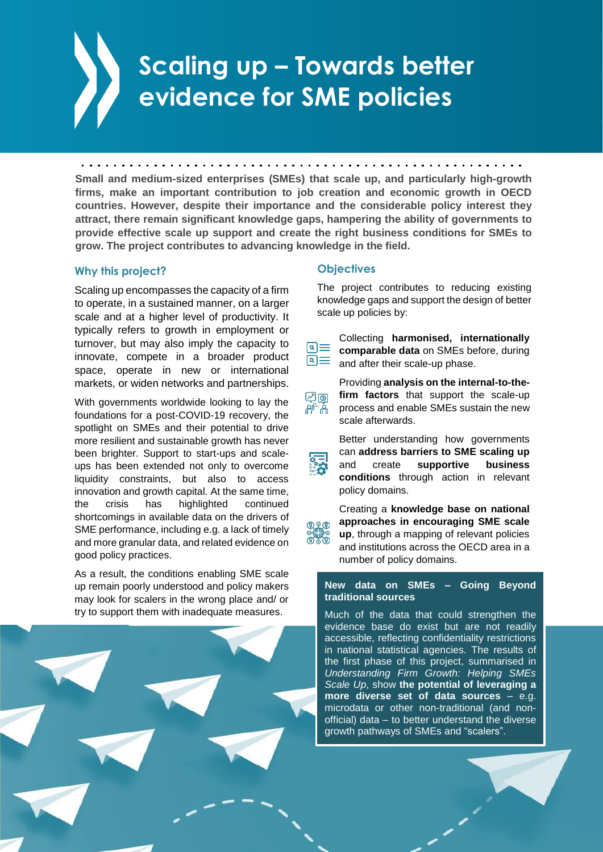# **Scaling up – Towards better evidence for SME policies**

**Small and medium-sized enterprises (SMEs) that scale up, and particularly high-growth firms, make an important contribution to job creation and economic growth in OECD countries. However, despite their importance and the considerable policy interest they attract, there remain significant knowledge gaps, hampering the ability of governments to provide effective scale up support and create the right business conditions for SMEs to grow. The project contributes to advancing knowledge in the field.**

### **Why this project?**

Scaling up encompasses the capacity of a firm to operate, in a sustained manner, on a larger scale and at a higher level of productivity. It typically refers to growth in employment or turnover, but may also imply the capacity to innovate, compete in a broader product space, operate in new or international markets, or widen networks and partnerships.

With governments worldwide looking to lay the foundations for a post-COVID-19 recovery, the spotlight on SMEs and their potential to drive more resilient and sustainable growth has never been brighter. Support to start-ups and scaleups has been extended not only to overcome liquidity constraints, but also to access innovation and growth capital. At the same time, the crisis has highlighted continued shortcomings in available data on the drivers of SME performance, including e.g. a lack of timely and more granular data, and related evidence on good policy practices.

As a result, the conditions enabling SME scale up remain poorly understood and policy makers may look for scalers in the wrong place and/ or try to support them with inadequate measures.

### **Objectives**

ৰে≡

வித் ۾ <sup>-</sup>ام

The project contributes to reducing existing knowledge gaps and support the design of better scale up policies by:

Collecting **harmonised, internationally comparable data** on SMEs before, during

<u>षि $\equiv$ </u> and after their scale-up phase. Providing **analysis on the internal-to-thefirm factors** that support the scale-up

process and enable SMEs sustain the new scale afterwards.

Better understanding how governments can **address barriers to SME scaling up** and create **supportive business conditions** through action in relevant policy domains.

Creating a **knowledge base on national approaches in encouraging SME scale up**, through a mapping of relevant policies and institutions across the OECD area in a number of policy domains.

### **New data on SMEs – Going Beyond traditional sources**

Much of the data that could strengthen the evidence base do exist but are not readily accessible, reflecting confidentiality restrictions in national statistical agencies. The results of the first phase of this project, summarised in *Understanding Firm Growth: Helping SMEs Scale Up*, show **the potential of leveraging a more diverse set of data sources** – e.g. microdata or other non-traditional (and nonofficial) data – to better understand the diverse growth pathways of SMEs and "scalers".